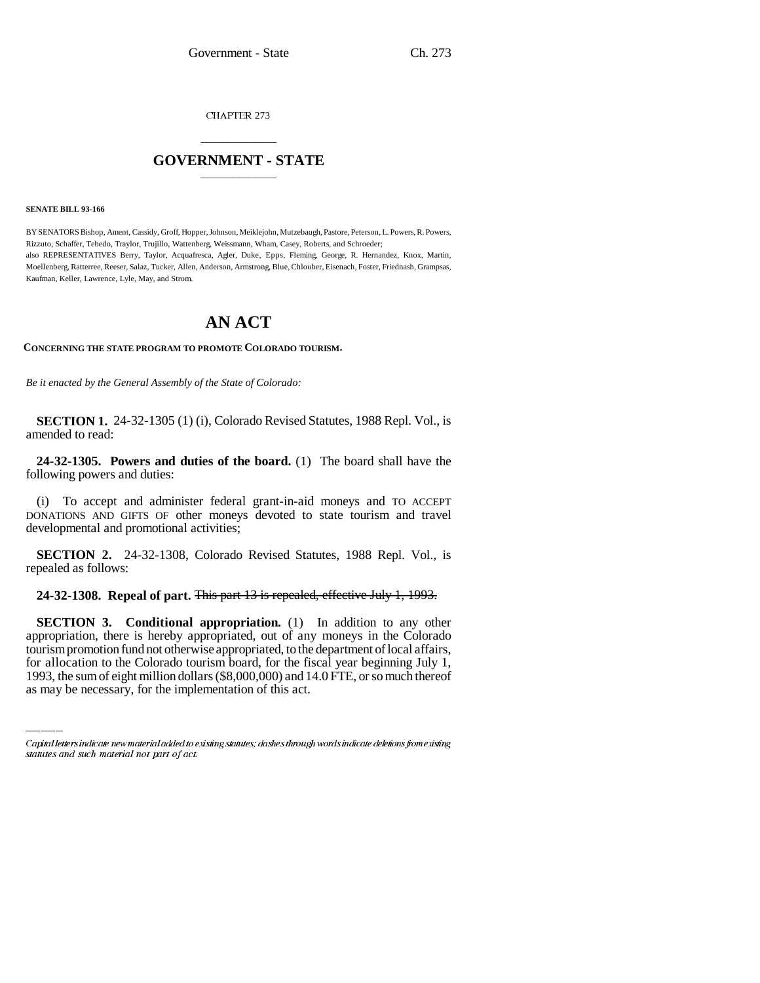CHAPTER 273

## \_\_\_\_\_\_\_\_\_\_\_\_\_\_\_ **GOVERNMENT - STATE** \_\_\_\_\_\_\_\_\_\_\_\_\_\_\_

## **SENATE BILL 93-166**

BY SENATORS Bishop, Ament, Cassidy, Groff, Hopper, Johnson, Meiklejohn, Mutzebaugh, Pastore, Peterson, L. Powers, R. Powers, Rizzuto, Schaffer, Tebedo, Traylor, Trujillo, Wattenberg, Weissmann, Wham, Casey, Roberts, and Schroeder; also REPRESENTATIVES Berry, Taylor, Acquafresca, Agler, Duke, Epps, Fleming, George, R. Hernandez, Knox, Martin, Moellenberg, Ratterree, Reeser, Salaz, Tucker, Allen, Anderson, Armstrong, Blue, Chlouber, Eisenach, Foster, Friednash, Grampsas, Kaufman, Keller, Lawrence, Lyle, May, and Strom.

## **AN ACT**

**CONCERNING THE STATE PROGRAM TO PROMOTE COLORADO TOURISM.**

*Be it enacted by the General Assembly of the State of Colorado:*

**SECTION 1.** 24-32-1305 (1) (i), Colorado Revised Statutes, 1988 Repl. Vol., is amended to read:

**24-32-1305. Powers and duties of the board.** (1) The board shall have the following powers and duties:

(i) To accept and administer federal grant-in-aid moneys and TO ACCEPT DONATIONS AND GIFTS OF other moneys devoted to state tourism and travel developmental and promotional activities;

**SECTION 2.** 24-32-1308, Colorado Revised Statutes, 1988 Repl. Vol., is repealed as follows:

**24-32-1308. Repeal of part.** This part 13 is repealed, effective July 1, 1993.

appropriation, there is hereby appropriated, out of any moneys in the Colorado **SECTION 3. Conditional appropriation.** (1) In addition to any other tourism promotion fund not otherwise appropriated, to the department of local affairs, for allocation to the Colorado tourism board, for the fiscal year beginning July 1, 1993, the sum of eight million dollars (\$8,000,000) and 14.0 FTE, or so much thereof as may be necessary, for the implementation of this act.

Capital letters indicate new material added to existing statutes; dashes through words indicate deletions from existing statutes and such material not part of act.